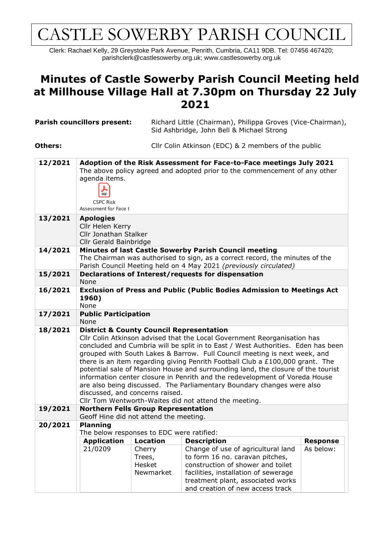## CASTLE SOWERBY PARISH COUNCIL

Clerk: Rachael Kelly, 29 Greystoke Park Avenue, Penrith, Cumbria, CA11 9DB. Tel: 07456 467420; parishclerk@castlesowerby.org.uk; [www.castlesowerby.org.uk](http://www.castlesowerby.org.uk/)

## **Minutes of Castle Sowerby Parish Council Meeting held at Millhouse Village Hall at 7.30pm on Thursday 22 July 2021**

| <b>Parish councillors present:</b> |                                                                                                                                                                                                                                                                                                                                                                                                                                                                                                                                                                                                                                                                                                                              |                                         | Richard Little (Chairman), Philippa Groves (Vice-Chairman),<br>Sid Ashbridge, John Bell & Michael Strong                                                                                                                    |                 |  |  |  |
|------------------------------------|------------------------------------------------------------------------------------------------------------------------------------------------------------------------------------------------------------------------------------------------------------------------------------------------------------------------------------------------------------------------------------------------------------------------------------------------------------------------------------------------------------------------------------------------------------------------------------------------------------------------------------------------------------------------------------------------------------------------------|-----------------------------------------|-----------------------------------------------------------------------------------------------------------------------------------------------------------------------------------------------------------------------------|-----------------|--|--|--|
| <b>Others:</b>                     |                                                                                                                                                                                                                                                                                                                                                                                                                                                                                                                                                                                                                                                                                                                              |                                         | Cllr Colin Atkinson (EDC) & 2 members of the public                                                                                                                                                                         |                 |  |  |  |
| 12/2021                            | agenda items.<br>PDF<br><b>CSPC Risk</b><br>Assessment for Face t                                                                                                                                                                                                                                                                                                                                                                                                                                                                                                                                                                                                                                                            |                                         | Adoption of the Risk Assessment for Face-to-Face meetings July 2021<br>The above policy agreed and adopted prior to the commencement of any other                                                                           |                 |  |  |  |
| 13/2021                            | <b>Apologies</b><br>Cllr Helen Kerry<br>Cllr Jonathan Stalker<br>Cllr Gerald Bainbridge                                                                                                                                                                                                                                                                                                                                                                                                                                                                                                                                                                                                                                      |                                         |                                                                                                                                                                                                                             |                 |  |  |  |
| 14/2021                            | Minutes of last Castle Sowerby Parish Council meeting<br>The Chairman was authorised to sign, as a correct record, the minutes of the<br>Parish Council Meeting held on 4 May 2021 (previously circulated)                                                                                                                                                                                                                                                                                                                                                                                                                                                                                                                   |                                         |                                                                                                                                                                                                                             |                 |  |  |  |
| 15/2021                            | Declarations of Interest/requests for dispensation<br>None                                                                                                                                                                                                                                                                                                                                                                                                                                                                                                                                                                                                                                                                   |                                         |                                                                                                                                                                                                                             |                 |  |  |  |
| 16/2021                            | 1960)<br>None                                                                                                                                                                                                                                                                                                                                                                                                                                                                                                                                                                                                                                                                                                                |                                         | Exclusion of Press and Public (Public Bodies Admission to Meetings Act                                                                                                                                                      |                 |  |  |  |
| 17/2021                            | <b>Public Participation</b><br>None                                                                                                                                                                                                                                                                                                                                                                                                                                                                                                                                                                                                                                                                                          |                                         |                                                                                                                                                                                                                             |                 |  |  |  |
| 18/2021                            | <b>District &amp; County Council Representation</b><br>Cllr Colin Atkinson advised that the Local Government Reorganisation has<br>concluded and Cumbria will be split in to East / West Authorities. Eden has been<br>grouped with South Lakes & Barrow. Full Council meeting is next week, and<br>there is an item regarding giving Penrith Football Club a $£100,000$ grant. The<br>potential sale of Mansion House and surrounding land, the closure of the tourist<br>information center closure in Penrith and the redevelopment of Voreda House<br>are also being discussed. The Parliamentary Boundary changes were also<br>discussed, and concerns raised.<br>Cllr Tom Wentworth-Waites did not attend the meeting. |                                         |                                                                                                                                                                                                                             |                 |  |  |  |
| 19/2021                            | <b>Northern Fells Group Representation</b><br>Geoff Hine did not attend the meeting.                                                                                                                                                                                                                                                                                                                                                                                                                                                                                                                                                                                                                                         |                                         |                                                                                                                                                                                                                             |                 |  |  |  |
| 20/2021                            | <b>Planning</b><br>The below responses to EDC were ratified:                                                                                                                                                                                                                                                                                                                                                                                                                                                                                                                                                                                                                                                                 |                                         |                                                                                                                                                                                                                             |                 |  |  |  |
|                                    | <b>Application</b>                                                                                                                                                                                                                                                                                                                                                                                                                                                                                                                                                                                                                                                                                                           | <b>Location</b>                         | <b>Description</b>                                                                                                                                                                                                          | <b>Response</b> |  |  |  |
|                                    | 21/0209                                                                                                                                                                                                                                                                                                                                                                                                                                                                                                                                                                                                                                                                                                                      | Cherry<br>Trees,<br>Hesket<br>Newmarket | Change of use of agricultural land<br>to form 16 no. caravan pitches,<br>construction of shower and toilet<br>facilities, installation of sewerage<br>treatment plant, associated works<br>and creation of new access track | As below:       |  |  |  |